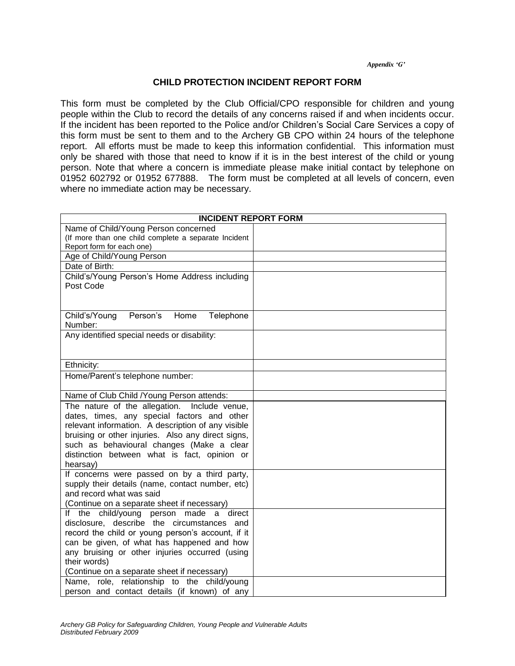## *Appendix 'G'*

## **CHILD PROTECTION INCIDENT REPORT FORM**

This form must be completed by the Club Official/CPO responsible for children and young people within the Club to record the details of any concerns raised if and when incidents occur. If the incident has been reported to the Police and/or Children's Social Care Services a copy of this form must be sent to them and to the Archery GB CPO within 24 hours of the telephone report. All efforts must be made to keep this information confidential. This information must only be shared with those that need to know if it is in the best interest of the child or young person. Note that where a concern is immediate please make initial contact by telephone on 01952 602792 or 01952 677888. The form must be completed at all levels of concern, even where no immediate action may be necessary.

| <b>INCIDENT REPORT FORM</b>                          |  |
|------------------------------------------------------|--|
| Name of Child/Young Person concerned                 |  |
| (If more than one child complete a separate Incident |  |
| Report form for each one)                            |  |
| Age of Child/Young Person                            |  |
| Date of Birth:                                       |  |
| Child's/Young Person's Home Address including        |  |
| Post Code                                            |  |
|                                                      |  |
|                                                      |  |
| Person's<br>Child's/Young<br>Home<br>Telephone       |  |
| Number:                                              |  |
| Any identified special needs or disability:          |  |
|                                                      |  |
|                                                      |  |
| Ethnicity:                                           |  |
| Home/Parent's telephone number:                      |  |
|                                                      |  |
| Name of Club Child /Young Person attends:            |  |
| The nature of the allegation. Include venue,         |  |
| dates, times, any special factors and other          |  |
| relevant information. A description of any visible   |  |
| bruising or other injuries. Also any direct signs,   |  |
| such as behavioural changes (Make a clear            |  |
| distinction between what is fact, opinion or         |  |
| hearsay)                                             |  |
| If concerns were passed on by a third party,         |  |
| supply their details (name, contact number, etc)     |  |
| and record what was said                             |  |
| (Continue on a separate sheet if necessary)          |  |
| If the child/young<br>made<br>person<br>direct<br>a  |  |
| disclosure, describe the circumstances<br>and        |  |
| record the child or young person's account, if it    |  |
| can be given, of what has happened and how           |  |
| any bruising or other injuries occurred (using       |  |
| their words)                                         |  |
| (Continue on a separate sheet if necessary)          |  |
| Name, role, relationship to the child/young          |  |
| person and contact details (if known) of any         |  |